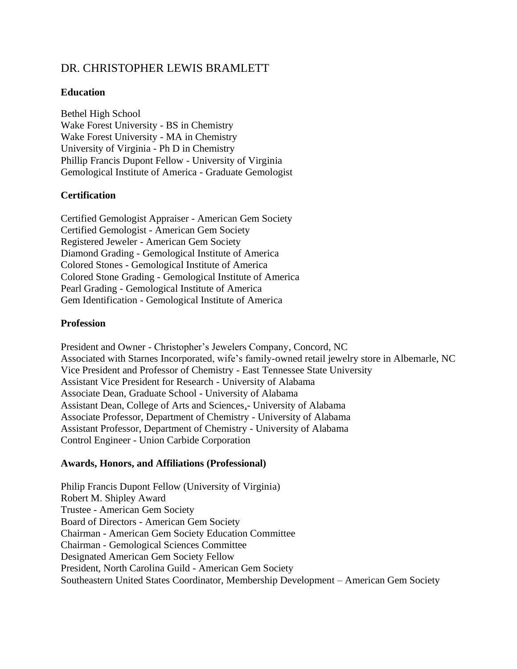# DR. CHRISTOPHER LEWIS BRAMLETT

## **Education**

Bethel High School Wake Forest University - BS in Chemistry Wake Forest University - MA in Chemistry University of Virginia - Ph D in Chemistry Phillip Francis Dupont Fellow - University of Virginia Gemological Institute of America - Graduate Gemologist

## **Certification**

Certified Gemologist Appraiser - American Gem Society Certified Gemologist - American Gem Society Registered Jeweler - American Gem Society Diamond Grading - Gemological Institute of America Colored Stones - Gemological Institute of America Colored Stone Grading - Gemological Institute of America Pearl Grading - Gemological Institute of America Gem Identification - Gemological Institute of America

## **Profession**

President and Owner - Christopher's Jewelers Company, Concord, NC Associated with Starnes Incorporated, wife's family-owned retail jewelry store in Albemarle, NC Vice President and Professor of Chemistry - East Tennessee State University Assistant Vice President for Research - University of Alabama Associate Dean, Graduate School - University of Alabama Assistant Dean, College of Arts and Sciences,- University of Alabama Associate Professor, Department of Chemistry - University of Alabama Assistant Professor, Department of Chemistry - University of Alabama Control Engineer - Union Carbide Corporation

## **Awards, Honors, and Affiliations (Professional)**

Philip Francis Dupont Fellow (University of Virginia) Robert M. Shipley Award Trustee - American Gem Society Board of Directors - American Gem Society Chairman - American Gem Society Education Committee Chairman - Gemological Sciences Committee Designated American Gem Society Fellow President, North Carolina Guild - American Gem Society Southeastern United States Coordinator, Membership Development – American Gem Society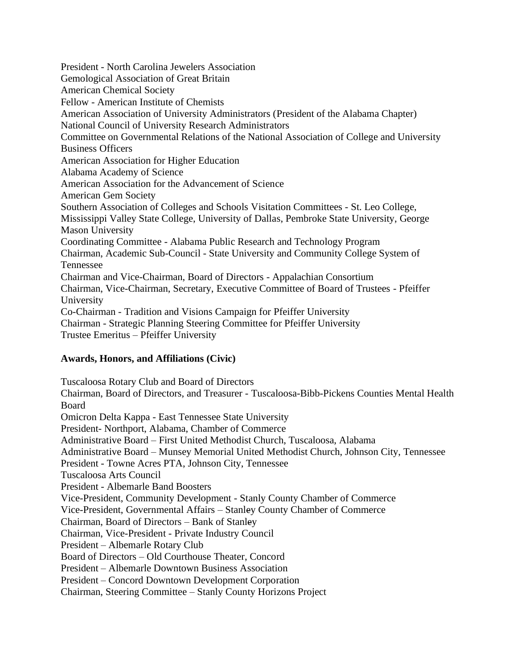President - North Carolina Jewelers Association Gemological Association of Great Britain American Chemical Society Fellow - American Institute of Chemists American Association of University Administrators (President of the Alabama Chapter) National Council of University Research Administrators Committee on Governmental Relations of the National Association of College and University Business Officers American Association for Higher Education Alabama Academy of Science American Association for the Advancement of Science American Gem Society Southern Association of Colleges and Schools Visitation Committees - St. Leo College, Mississippi Valley State College, University of Dallas, Pembroke State University, George Mason University Coordinating Committee - Alabama Public Research and Technology Program Chairman, Academic Sub-Council - State University and Community College System of Tennessee Chairman and Vice-Chairman, Board of Directors - Appalachian Consortium Chairman, Vice-Chairman, Secretary, Executive Committee of Board of Trustees - Pfeiffer University Co-Chairman - Tradition and Visions Campaign for Pfeiffer University Chairman - Strategic Planning Steering Committee for Pfeiffer University Trustee Emeritus – Pfeiffer University

## **Awards, Honors, and Affiliations (Civic)**

Tuscaloosa Rotary Club and Board of Directors Chairman, Board of Directors, and Treasurer - Tuscaloosa-Bibb-Pickens Counties Mental Health Board Omicron Delta Kappa - East Tennessee State University President- Northport, Alabama, Chamber of Commerce Administrative Board – First United Methodist Church, Tuscaloosa, Alabama Administrative Board – Munsey Memorial United Methodist Church, Johnson City, Tennessee President - Towne Acres PTA, Johnson City, Tennessee Tuscaloosa Arts Council President - Albemarle Band Boosters Vice-President, Community Development - Stanly County Chamber of Commerce Vice-President, Governmental Affairs – Stanley County Chamber of Commerce Chairman, Board of Directors – Bank of Stanley Chairman, Vice-President - Private Industry Council President – Albemarle Rotary Club Board of Directors – Old Courthouse Theater, Concord President – Albemarle Downtown Business Association President – Concord Downtown Development Corporation Chairman, Steering Committee – Stanly County Horizons Project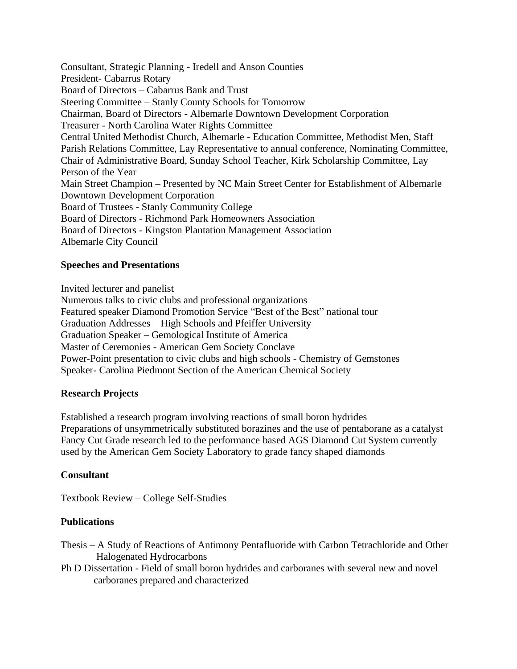Consultant, Strategic Planning - Iredell and Anson Counties President- Cabarrus Rotary Board of Directors – Cabarrus Bank and Trust Steering Committee – Stanly County Schools for Tomorrow Chairman, Board of Directors - Albemarle Downtown Development Corporation Treasurer - North Carolina Water Rights Committee Central United Methodist Church, Albemarle - Education Committee, Methodist Men, Staff Parish Relations Committee, Lay Representative to annual conference, Nominating Committee, Chair of Administrative Board, Sunday School Teacher, Kirk Scholarship Committee, Lay Person of the Year Main Street Champion – Presented by NC Main Street Center for Establishment of Albemarle Downtown Development Corporation Board of Trustees - Stanly Community College Board of Directors - Richmond Park Homeowners Association Board of Directors - Kingston Plantation Management Association Albemarle City Council

## **Speeches and Presentations**

Invited lecturer and panelist

Numerous talks to civic clubs and professional organizations Featured speaker Diamond Promotion Service "Best of the Best" national tour Graduation Addresses – High Schools and Pfeiffer University Graduation Speaker – Gemological Institute of America Master of Ceremonies - American Gem Society Conclave Power-Point presentation to civic clubs and high schools - Chemistry of Gemstones Speaker- Carolina Piedmont Section of the American Chemical Society

## **Research Projects**

Established a research program involving reactions of small boron hydrides Preparations of unsymmetrically substituted borazines and the use of pentaborane as a catalyst Fancy Cut Grade research led to the performance based AGS Diamond Cut System currently used by the American Gem Society Laboratory to grade fancy shaped diamonds

## **Consultant**

Textbook Review – College Self-Studies

## **Publications**

- Thesis A Study of Reactions of Antimony Pentafluoride with Carbon Tetrachloride and Other Halogenated Hydrocarbons
- Ph D Dissertation Field of small boron hydrides and carboranes with several new and novel carboranes prepared and characterized